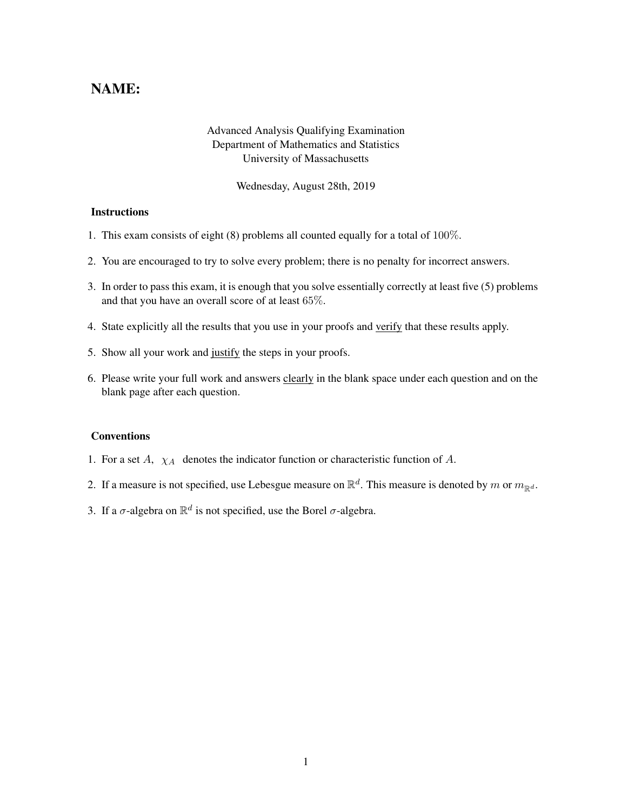## NAME:

## Advanced Analysis Qualifying Examination Department of Mathematics and Statistics University of Massachusetts

Wednesday, August 28th, 2019

## **Instructions**

- 1. This exam consists of eight (8) problems all counted equally for a total of 100%.
- 2. You are encouraged to try to solve every problem; there is no penalty for incorrect answers.
- 3. In order to pass this exam, it is enough that you solve essentially correctly at least five (5) problems and that you have an overall score of at least 65%.
- 4. State explicitly all the results that you use in your proofs and verify that these results apply.
- 5. Show all your work and justify the steps in your proofs.
- 6. Please write your full work and answers clearly in the blank space under each question and on the blank page after each question.

## **Conventions**

- 1. For a set  $A$ ,  $\chi_A$  denotes the indicator function or characteristic function of  $A$ .
- 2. If a measure is not specified, use Lebesgue measure on  $\mathbb{R}^d$ . This measure is denoted by m or  $m_{\mathbb{R}^d}$ .
- 3. If a  $\sigma$ -algebra on  $\mathbb{R}^d$  is not specified, use the Borel  $\sigma$ -algebra.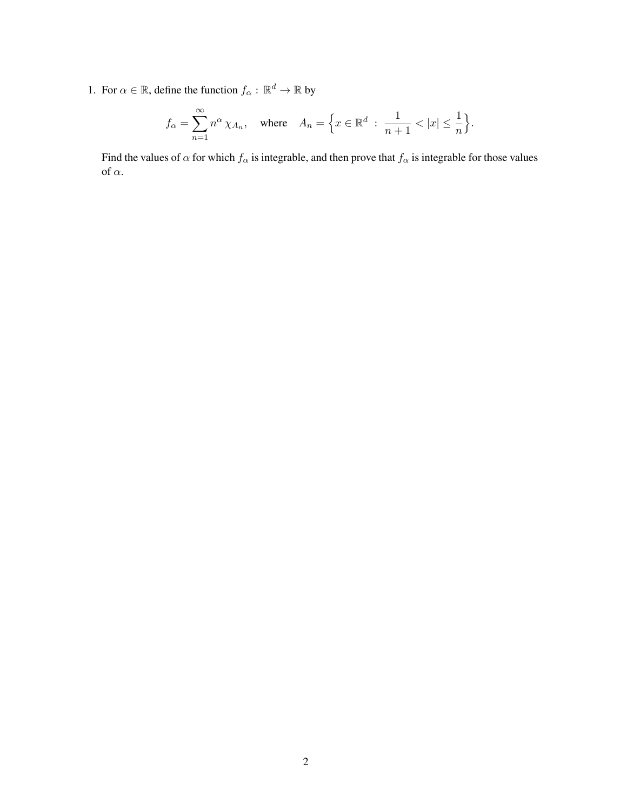1. For  $\alpha \in \mathbb{R}$ , define the function  $f_{\alpha} : \mathbb{R}^d \to \mathbb{R}$  by

$$
f_{\alpha} = \sum_{n=1}^{\infty} n^{\alpha} \chi_{A_n}, \quad \text{where} \quad A_n = \Big\{ x \in \mathbb{R}^d \; : \; \frac{1}{n+1} < |x| \le \frac{1}{n} \Big\}.
$$

Find the values of  $\alpha$  for which  $f_{\alpha}$  is integrable, and then prove that  $f_{\alpha}$  is integrable for those values of  $\alpha.$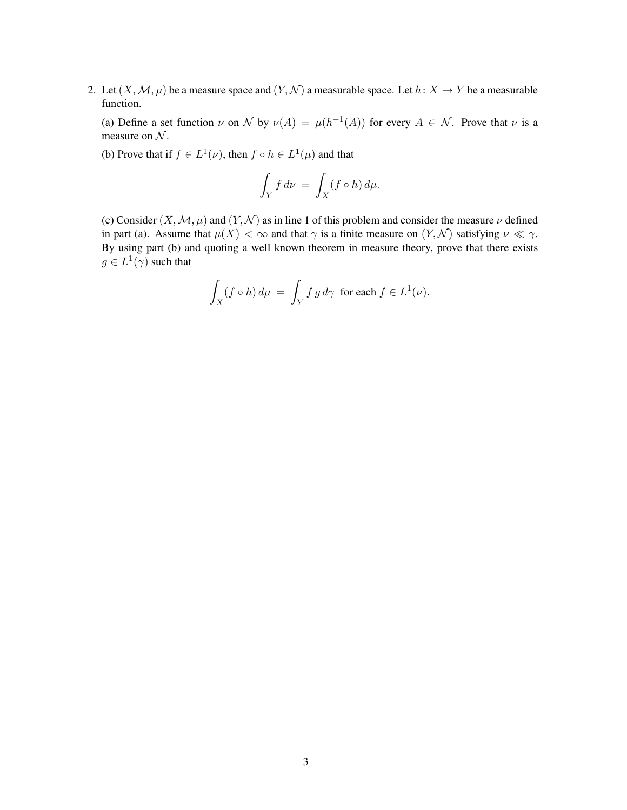2. Let  $(X, \mathcal{M}, \mu)$  be a measure space and  $(Y, \mathcal{N})$  a measurable space. Let  $h: X \to Y$  be a measurable function.

(a) Define a set function  $\nu$  on  $\mathcal N$  by  $\nu(A) = \mu(h^{-1}(A))$  for every  $A \in \mathcal N$ . Prove that  $\nu$  is a measure on  $N$ .

(b) Prove that if  $f \in L^1(\nu)$ , then  $f \circ h \in L^1(\mu)$  and that

$$
\int_Y f \, d\nu \, = \, \int_X (f \circ h) \, d\mu.
$$

(c) Consider  $(X, \mathcal{M}, \mu)$  and  $(Y, \mathcal{N})$  as in line 1 of this problem and consider the measure  $\nu$  defined in part (a). Assume that  $\mu(X) < \infty$  and that  $\gamma$  is a finite measure on  $(Y, \mathcal{N})$  satisfying  $\nu \ll \gamma$ . By using part (b) and quoting a well known theorem in measure theory, prove that there exists  $g \in L^1(\gamma)$  such that

$$
\int_X (f \circ h) d\mu = \int_Y f g d\gamma \text{ for each } f \in L^1(\nu).
$$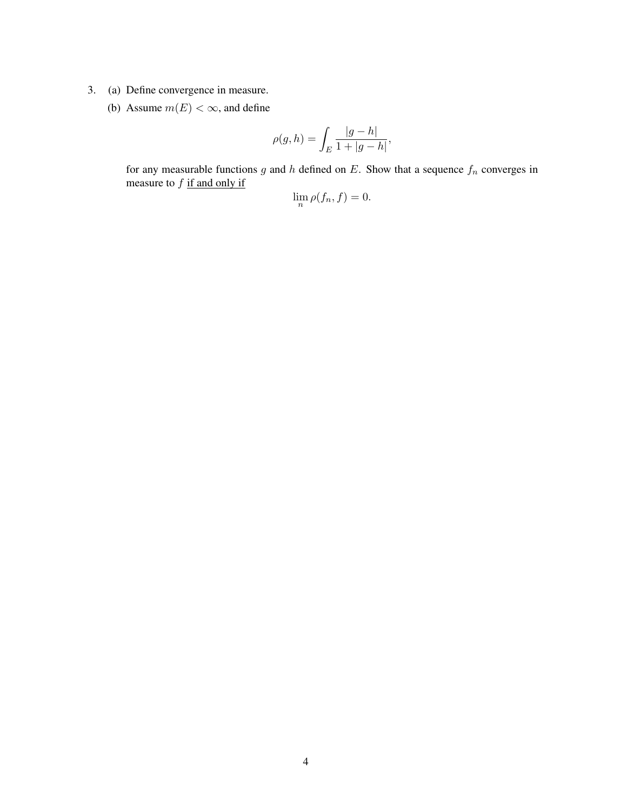- 3. (a) Define convergence in measure.
	- (b) Assume  $m(E) < \infty$ , and define

$$
\rho(g,h) = \int_E \frac{|g-h|}{1+|g-h|},
$$

for any measurable functions g and h defined on E. Show that a sequence  $f_n$  converges in measure to  $f$  if and only if

$$
\lim_{n} \rho(f_n, f) = 0.
$$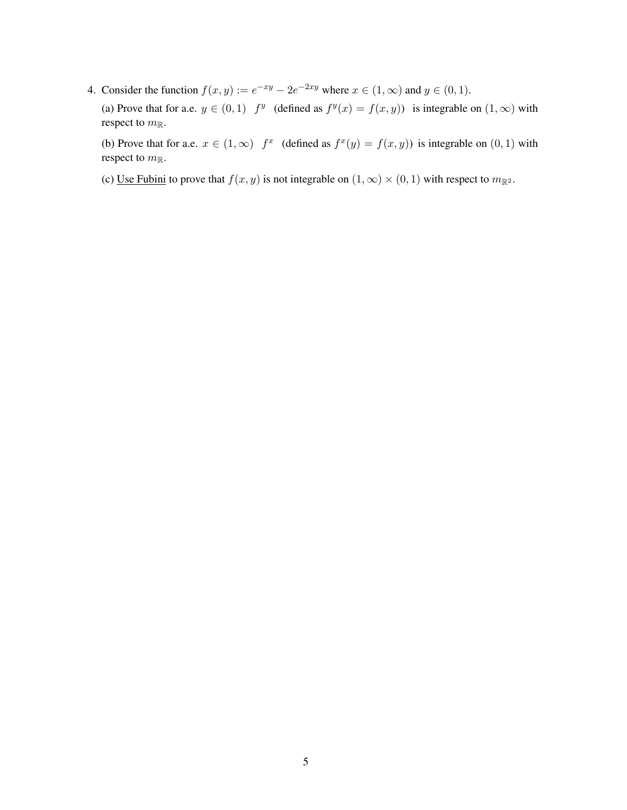4. Consider the function  $f(x, y) := e^{-xy} - 2e^{-2xy}$  where  $x \in (1, \infty)$  and  $y \in (0, 1)$ .

(a) Prove that for a.e.  $y \in (0,1)$   $f^y$  (defined as  $f^y(x) = f(x, y)$ ) is integrable on  $(1,\infty)$  with respect to  $m_{\mathbb{R}}$ .

(b) Prove that for a.e.  $x \in (1,\infty)$   $f^x$  (defined as  $f^x(y) = f(x, y)$ ) is integrable on  $(0,1)$  with respect to  $m_{\mathbb{R}}$ .

(c) Use Fubini to prove that  $f(x, y)$  is not integrable on  $(1, \infty) \times (0, 1)$  with respect to  $m_{\mathbb{R}^2}$ .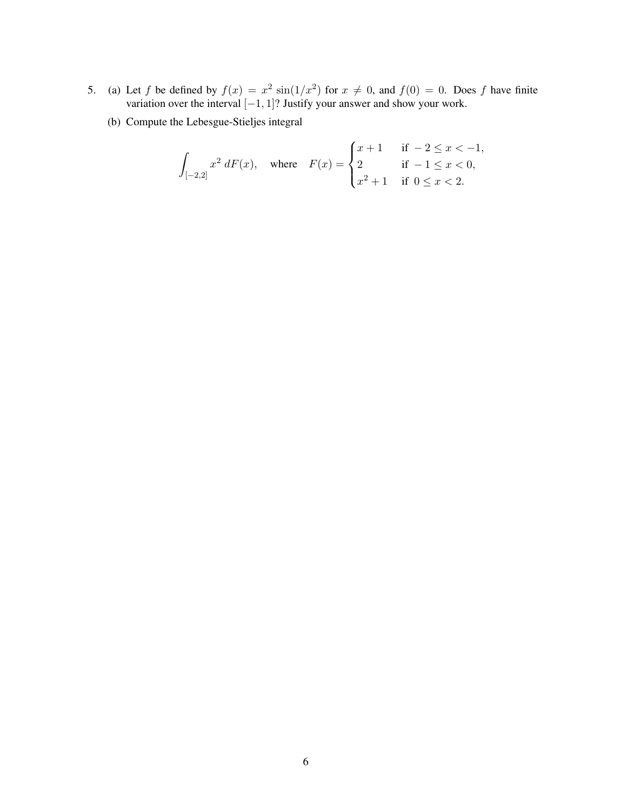- 5. (a) Let f be defined by  $f(x) = x^2 \sin(1/x^2)$  for  $x \neq 0$ , and  $f(0) = 0$ . Does f have finite variation over the interval  $[-1, 1]$ ? Justify your answer and show your work.
	- (b) Compute the Lebesgue-Stieljes integral

$$
\int_{[-2,2]} x^2 \, dF(x), \quad \text{where} \quad F(x) = \begin{cases} x+1 & \text{if } -2 \leq x < -1, \\ 2 & \text{if } -1 \leq x < 0, \\ x^2+1 & \text{if } 0 \leq x < 2. \end{cases}
$$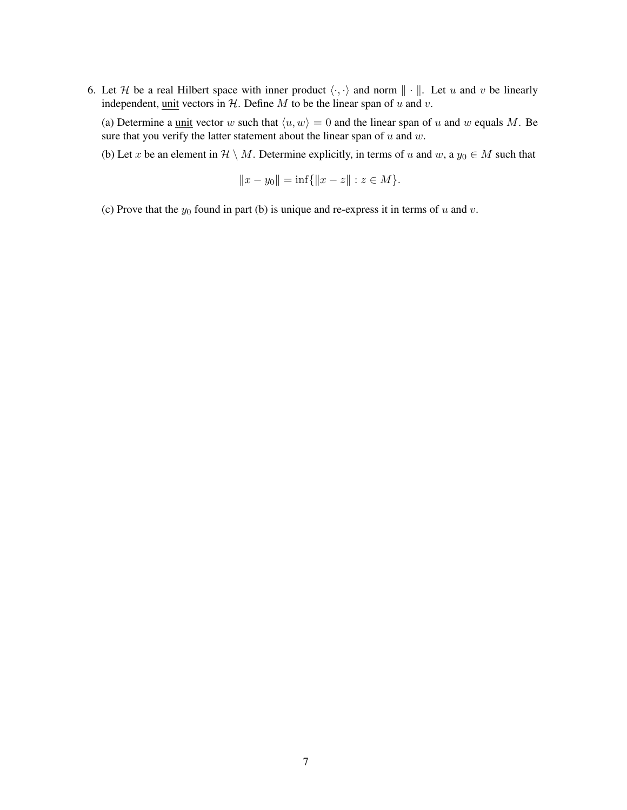6. Let H be a real Hilbert space with inner product  $\langle \cdot, \cdot \rangle$  and norm  $\| \cdot \|$ . Let u and v be linearly independent, unit vectors in  $H$ . Define  $M$  to be the linear span of  $u$  and  $v$ .

(a) Determine a <u>unit</u> vector w such that  $\langle u, w \rangle = 0$  and the linear span of u and w equals M. Be sure that you verify the latter statement about the linear span of  $u$  and  $w$ .

(b) Let x be an element in  $\mathcal{H} \setminus M$ . Determine explicitly, in terms of u and w, a  $y_0 \in M$  such that

$$
||x - y_0|| = \inf\{||x - z|| : z \in M\}.
$$

(c) Prove that the  $y_0$  found in part (b) is unique and re-express it in terms of u and v.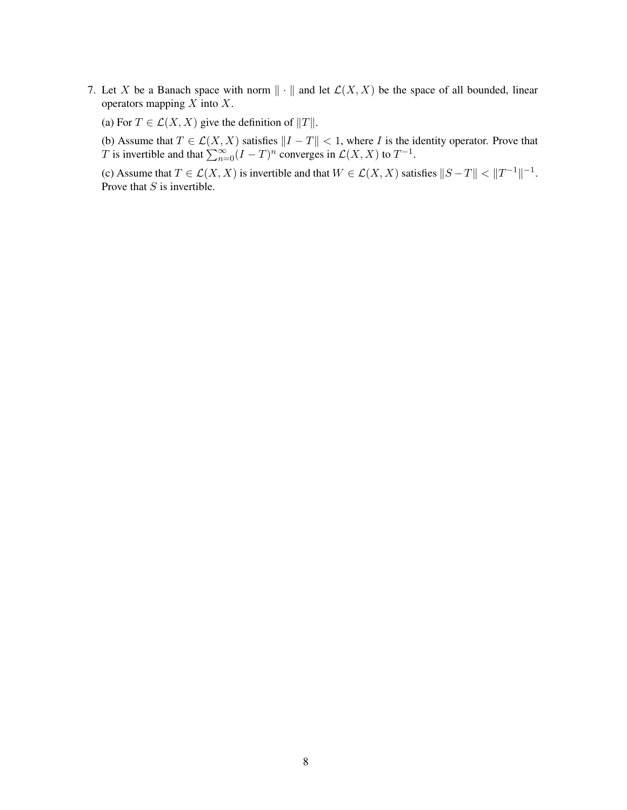- 7. Let X be a Banach space with norm  $\|\cdot\|$  and let  $\mathcal{L}(X, X)$  be the space of all bounded, linear operators mapping  $X$  into  $X$ .
	- (a) For  $T \in \mathcal{L}(X, X)$  give the definition of  $||T||$ .
	- (b) Assume that  $T \in \mathcal{L}(X, X)$  satisfies  $||I T|| < 1$ , where I is the identity operator. Prove that T is invertible and that  $\sum_{n=0}^{\infty} (I - T)^n$  converges in  $\mathcal{L}(X, X)$  to  $T^{-1}$ .

(c) Assume that  $T \in \mathcal{L}(X, X)$  is invertible and that  $W \in \mathcal{L}(X, X)$  satisfies  $||S - T|| < ||T^{-1}||^{-1}$ . Prove that  $S$  is invertible.